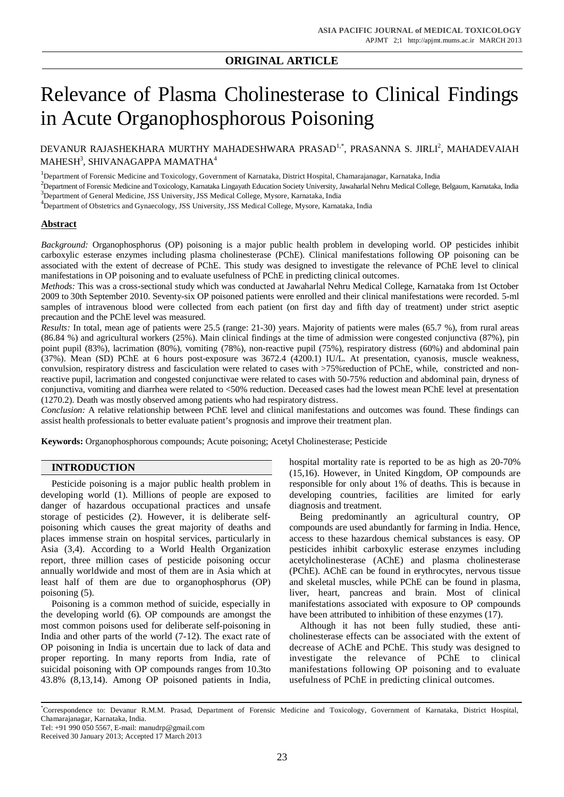## **ORIGINAL ARTICLE**

# Relevance of Plasma Cholinesterase to Clinical Findings in Acute Organophosphorous Poisoning

DEVANUR RAJASHEKHARA MURTHY MAHADESHWARA PRASAD<sup>1,\*</sup>, PRASANNA S. JIRLI<sup>2</sup>, MAHADEVAIAH  $\mathbf M$ AHESH $^3$ , SHIVANAGAPPA MAMATHA $^4$ 

<sup>1</sup>Department of Forensic Medicine and Toxicology, Government of Karnataka, District Hospital, Chamarajanagar, Karnataka, India

<sup>2</sup>Department of Forensic Medicine and Toxicology, Karnataka Lingayath Education Society University, Jawaharlal Nehru Medical College, Belgaum, Karnataka, India <sup>3</sup>Department of General Medicine, JSS University, JSS Medical College, Mysore, Karnataka, India

<sup>4</sup>Department of Obstetrics and Gynaecology, JSS University, JSS Medical College, Mysore, Karnataka, India

### **Abstract**

*Background:* Organophosphorus (OP) poisoning is a major public health problem in developing world. OP pesticides inhibit carboxylic esterase enzymes including plasma cholinesterase (PChE). Clinical manifestations following OP poisoning can be associated with the extent of decrease of PChE. This study was designed to investigate the relevance of PChE level to clinical manifestations in OP poisoning and to evaluate usefulness of PChE in predicting clinical outcomes.

*Methods:* This was a cross-sectional study which was conducted at Jawaharlal Nehru Medical College, Karnataka from 1st October 2009 to 30th September 2010. Seventy-six OP poisoned patients were enrolled and their clinical manifestations were recorded. 5-ml samples of intravenous blood were collected from each patient (on first day and fifth day of treatment) under strict aseptic precaution and the PChE level was measured.

*Results:* In total, mean age of patients were 25.5 (range: 21-30) years. Majority of patients were males (65.7 %), from rural areas (86.84 %) and agricultural workers (25%). Main clinical findings at the time of admission were congested conjunctiva (87%), pin point pupil (83%), lacrimation (80%), vomiting (78%), non-reactive pupil (75%), respiratory distress (60%) and abdominal pain (37%). Mean (SD) PChE at 6 hours post-exposure was 3672.4 (4200.1) IU/L. At presentation, cyanosis, muscle weakness, convulsion, respiratory distress and fasciculation were related to cases with >75%reduction of PChE, while, constricted and nonreactive pupil, lacrimation and congested conjunctivae were related to cases with 50-75% reduction and abdominal pain, dryness of conjunctiva, vomiting and diarrhea were related to <50% reduction. Deceased cases had the lowest mean PChE level at presentation (1270.2). Death was mostly observed among patients who had respiratory distress.

*Conclusion:* A relative relationship between PChE level and clinical manifestations and outcomes was found. These findings can assist health professionals to better evaluate patient's prognosis and improve their treatment plan.

**Keywords:** Organophosphorous compounds; Acute poisoning; Acetyl Cholinesterase; Pesticide

#### **INTRODUCTION**

Pesticide poisoning is a major public health problem in developing world (1). Millions of people are exposed to danger of hazardous occupational practices and unsafe storage of pesticides (2). However, it is deliberate selfpoisoning which causes the great majority of deaths and places immense strain on hospital services, particularly in Asia (3,4). According to a World Health Organization report, three million cases of pesticide poisoning occur annually worldwide and most of them are in Asia which at least half of them are due to organophosphorus (OP) poisoning (5).

Poisoning is a common method of suicide, especially in the developing world (6). OP compounds are amongst the most common poisons used for deliberate self-poisoning in India and other parts of the world (7-12). The exact rate of OP poisoning in India is uncertain due to lack of data and proper reporting. In many reports from India, rate of suicidal poisoning with OP compounds ranges from 10.3to 43.8% (8,13,14). Among OP poisoned patients in India, hospital mortality rate is reported to be as high as 20-70% (15,16). However, in United Kingdom, OP compounds are responsible for only about 1% of deaths. This is because in developing countries, facilities are limited for early diagnosis and treatment.

Being predominantly an agricultural country, OP compounds are used abundantly for farming in India. Hence, access to these hazardous chemical substances is easy. OP pesticides inhibit carboxylic esterase enzymes including acetylcholinesterase (AChE) and plasma cholinesterase (PChE). AChE can be found in erythrocytes, nervous tissue and skeletal muscles, while PChE can be found in plasma, liver, heart, pancreas and brain. Most of clinical manifestations associated with exposure to OP compounds have been attributed to inhibition of these enzymes (17).

Although it has not been fully studied, these anticholinesterase effects can be associated with the extent of decrease of AChE and PChE. This study was designed to investigate the relevance of PChE to clinical manifestations following OP poisoning and to evaluate usefulness of PChE in predicting clinical outcomes.

<sup>\*</sup>Correspondence to: Devanur R.M.M. Prasad, Department of Forensic Medicine and Toxicology, Government of Karnataka, District Hospital, Chamarajanagar, Karnataka, India.

Tel: +91 990 050 5567, E-mail: [manudrp@gmail.com](mailto:manudrp@gmail.com)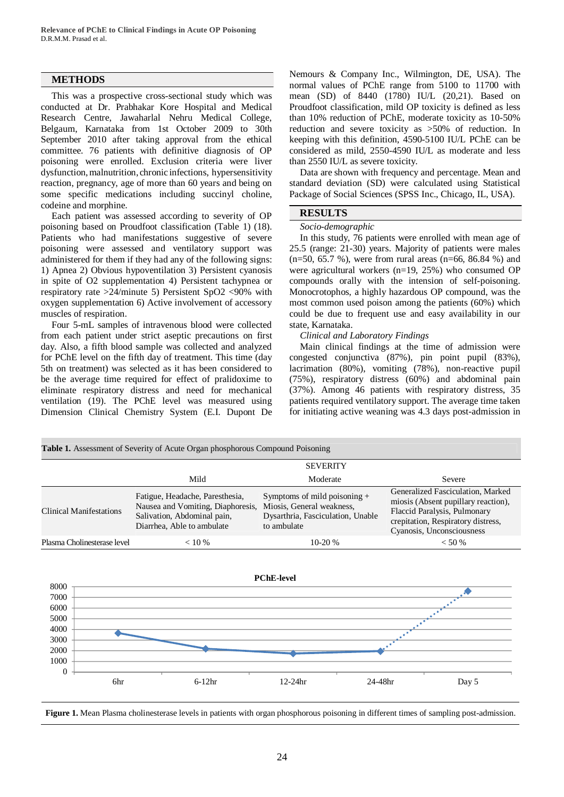### **METHODS**

This was a prospective cross-sectional study which was conducted at Dr. Prabhakar Kore Hospital and Medical Research Centre, Jawaharlal Nehru Medical College, Belgaum, Karnataka from 1st October 2009 to 30th September 2010 after taking approval from the ethical committee. 76 patients with definitive diagnosis of OP poisoning were enrolled. Exclusion criteria were liver dysfunction, malnutrition, chronic infections, hypersensitivity reaction, pregnancy, age of more than 60 years and being on some specific medications including succinyl choline, codeine and morphine.

Each patient was assessed according to severity of OP poisoning based on Proudfoot classification (Table 1) (18). Patients who had manifestations suggestive of severe poisoning were assessed and ventilatory support was administered for them if they had any of the following signs: 1) Apnea 2) Obvious hypoventilation 3) Persistent cyanosis in spite of O2 supplementation 4) Persistent tachypnea or respiratory rate >24/minute 5) Persistent SpO2 <90% with oxygen supplementation 6) Active involvement of accessory muscles of respiration.

Four 5-mL samples of intravenous blood were collected from each patient under strict aseptic precautions on first day. Also, a fifth blood sample was collected and analyzed for PChE level on the fifth day of treatment. This time (day 5th on treatment) was selected as it has been considered to be the average time required for effect of pralidoxime to eliminate respiratory distress and need for mechanical ventilation (19). The PChE level was measured using Dimension Clinical Chemistry System (E.I. Dupont De Nemours & Company Inc., Wilmington, DE, USA). The normal values of PChE range from 5100 to 11700 with mean (SD) of 8440 (1780) IU/L (20,21). Based on Proudfoot classification, mild OP toxicity is defined as less than 10% reduction of PChE, moderate toxicity as 10-50% reduction and severe toxicity as >50% of reduction. In keeping with this definition, 4590-5100 IU/L PChE can be considered as mild, 2550-4590 IU/L as moderate and less than 2550 IU/L as severe toxicity.

Data are shown with frequency and percentage. Mean and standard deviation (SD) were calculated using Statistical Package of Social Sciences (SPSS Inc., Chicago, IL, USA).

#### **RESULTS**

#### *Socio-demographic*

In this study, 76 patients were enrolled with mean age of 25.5 (range: 21-30) years. Majority of patients were males (n=50, 65.7 %), were from rural areas (n=66, 86.84 %) and were agricultural workers (n=19, 25%) who consumed OP compounds orally with the intension of self-poisoning. Monocrotophos, a highly hazardous OP compound, was the most common used poison among the patients (60%) which could be due to frequent use and easy availability in our state, Karnataka.

#### *Clinical and Laboratory Findings*

Main clinical findings at the time of admission were congested conjunctiva (87%), pin point pupil (83%), lacrimation (80%), vomiting (78%), non-reactive pupil (75%), respiratory distress (60%) and abdominal pain (37%). Among 46 patients with respiratory distress, 35 patients required ventilatory support. The average time taken for initiating active weaning was 4.3 days post-admission in





**Figure 1.** Mean Plasma cholinesterase levels in patients with organ phosphorous poisoning in different times of sampling post-admission.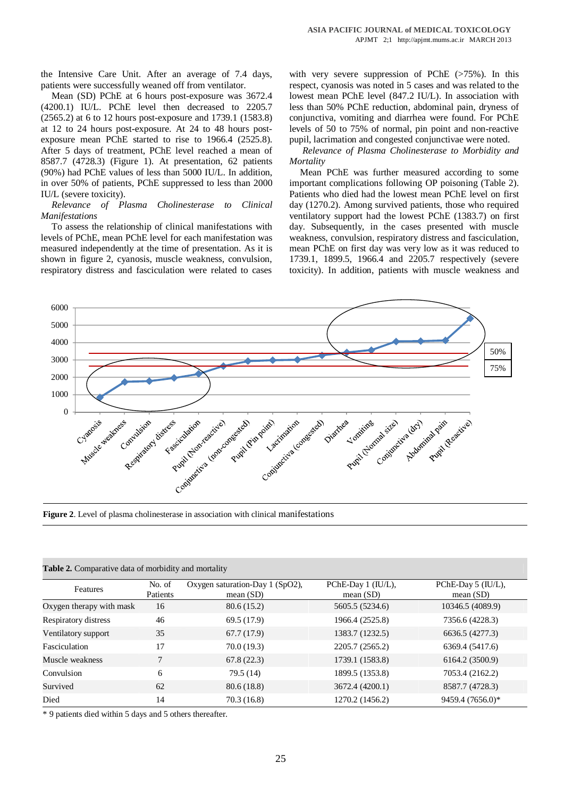the Intensive Care Unit. After an average of 7.4 days, patients were successfully weaned off from ventilator.

Mean (SD) PChE at 6 hours post-exposure was 3672.4 (4200.1) IU/L. PChE level then decreased to 2205.7 (2565.2) at 6 to 12 hours post-exposure and 1739.1 (1583.8) at 12 to 24 hours post-exposure. At 24 to 48 hours postexposure mean PChE started to rise to 1966.4 (2525.8). After 5 days of treatment, PChE level reached a mean of 8587.7 (4728.3) (Figure 1). At presentation, 62 patients (90%) had PChE values of less than 5000 IU/L. In addition, in over 50% of patients, PChE suppressed to less than 2000 IU/L (severe toxicity).

*Relevance of Plasma Cholinesterase to Clinical Manifestations*

To assess the relationship of clinical manifestations with levels of PChE, mean PChE level for each manifestation was measured independently at the time of presentation. As it is shown in figure 2, cyanosis, muscle weakness, convulsion, respiratory distress and fasciculation were related to cases with very severe suppression of PChE  $(>75\%)$ . In this respect, cyanosis was noted in 5 cases and was related to the lowest mean PChE level (847.2 IU/L). In association with less than 50% PChE reduction, abdominal pain, dryness of conjunctiva, vomiting and diarrhea were found. For PChE levels of 50 to 75% of normal, pin point and non-reactive pupil, lacrimation and congested conjunctivae were noted.

*Relevance of Plasma Cholinesterase to Morbidity and Mortality*

Mean PChE was further measured according to some important complications following OP poisoning (Table 2). Patients who died had the lowest mean PChE level on first day (1270.2). Among survived patients, those who required ventilatory support had the lowest PChE (1383.7) on first day. Subsequently, in the cases presented with muscle weakness, convulsion, respiratory distress and fasciculation, mean PChE on first day was very low as it was reduced to 1739.1, 1899.5, 1966.4 and 2205.7 respectively (severe toxicity). In addition, patients with muscle weakness and



**Figure 2**. Level of plasma cholinesterase in association with clinical manifestations

| Table 2. Comparative data of morbidity and mortality |  |
|------------------------------------------------------|--|
|------------------------------------------------------|--|

| No. of   | Oxygen saturation-Day 1 (SpO2), | PChE-Day 1 (IU/L), | PChE-Day 5 (IU/L), |
|----------|---------------------------------|--------------------|--------------------|
| Patients | mean $(SD)$                     | mean $(SD)$        | mean $(SD)$        |
| 16       | 80.6(15.2)                      | 5605.5 (5234.6)    | 10346.5 (4089.9)   |
| 46       | 69.5 (17.9)                     | 1966.4 (2525.8)    | 7356.6 (4228.3)    |
| 35       | 67.7(17.9)                      | 1383.7 (1232.5)    | 6636.5 (4277.3)    |
| 17       | 70.0 (19.3)                     | 2205.7 (2565.2)    | 6369.4 (5417.6)    |
| 7        | 67.8(22.3)                      | 1739.1 (1583.8)    | 6164.2 (3500.9)    |
| 6        | 79.5 (14)                       | 1899.5 (1353.8)    | 7053.4 (2162.2)    |
| 62       | 80.6 (18.8)                     | 3672.4 (4200.1)    | 8587.7 (4728.3)    |
| 14       | 70.3(16.8)                      | 1270.2 (1456.2)    | 9459.4 (7656.0)*   |
|          |                                 |                    |                    |

\* 9 patients died within 5 days and 5 others thereafter.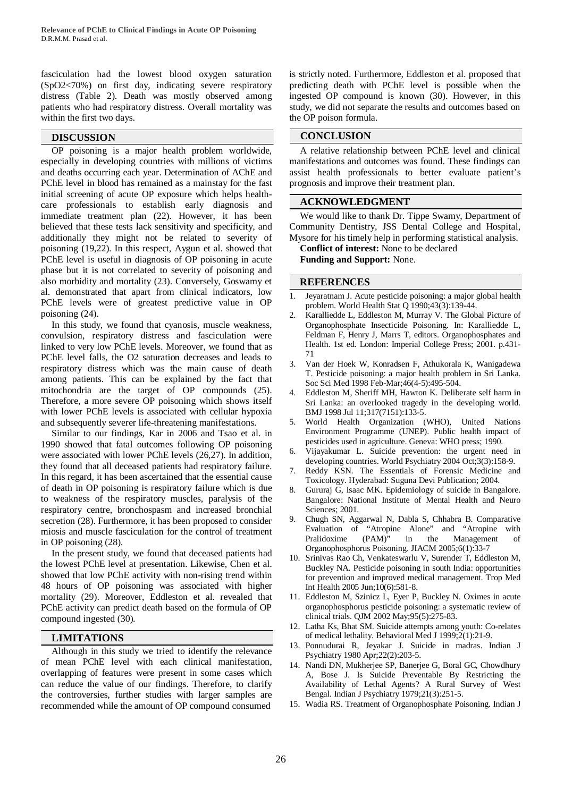fasciculation had the lowest blood oxygen saturation (SpO2<70%) on first day, indicating severe respiratory distress (Table 2). Death was mostly observed among patients who had respiratory distress. Overall mortality was within the first two days.

OP poisoning is a major health problem worldwide, especially in developing countries with millions of victims and deaths occurring each year. Determination of AChE and PChE level in blood has remained as a mainstay for the fast initial screening of acute OP exposure which helps healthcare professionals to establish early diagnosis and immediate treatment plan (22). However, it has been believed that these tests lack sensitivity and specificity, and additionally they might not be related to severity of poisoning (19,22). In this respect, Aygun et al. showed that PChE level is useful in diagnosis of OP poisoning in acute phase but it is not correlated to severity of poisoning and also morbidity and mortality (23). Conversely, Goswamy et al. demonstrated that apart from clinical indicators, low PChE levels were of greatest predictive value in OP poisoning (24).

In this study, we found that cyanosis, muscle weakness, convulsion, respiratory distress and fasciculation were linked to very low PChE levels. Moreover, we found that as PChE level falls, the O2 saturation decreases and leads to respiratory distress which was the main cause of death among patients. This can be explained by the fact that mitochondria are the target of OP compounds (25). Therefore, a more severe OP poisoning which shows itself with lower PChE levels is associated with cellular hypoxia and subsequently severer life-threatening manifestations.

Similar to our findings, Kar in 2006 and Tsao et al. in 1990 showed that fatal outcomes following OP poisoning were associated with lower PChE levels (26,27). In addition, they found that all deceased patients had respiratory failure. In this regard, it has been ascertained that the essential cause of death in OP poisoning is respiratory failure which is due to weakness of the respiratory muscles, paralysis of the respiratory centre, bronchospasm and increased bronchial secretion (28). Furthermore, it has been proposed to consider miosis and muscle fasciculation for the control of treatment in OP poisoning (28).

In the present study, we found that deceased patients had the lowest PChE level at presentation. Likewise, Chen et al. showed that low PChE activity with non-rising trend within 48 hours of OP poisoning was associated with higher mortality (29). Moreover, Eddleston et al. revealed that PChE activity can predict death based on the formula of OP compound ingested (30).

### **LIMITATIONS**

Although in this study we tried to identify the relevance of mean PChE level with each clinical manifestation, overlapping of features were present in some cases which can reduce the value of our findings. Therefore, to clarify the controversies, further studies with larger samples are recommended while the amount of OP compound consumed

is strictly noted. Furthermore, Eddleston et al. proposed that predicting death with PChE level is possible when the ingested OP compound is known (30). However, in this study, we did not separate the results and outcomes based on the OP poison formula.

#### **DISCUSSION CONCLUSION**

A relative relationship between PChE level and clinical manifestations and outcomes was found. These findings can assist health professionals to better evaluate patient's prognosis and improve their treatment plan.

#### **ACKNOWLEDGMENT**

We would like to thank Dr. Tippe Swamy, Department of Community Dentistry, JSS Dental College and Hospital, Mysore for his timely help in performing statistical analysis.

**Conflict of interest:** None to be declared **Funding and Support:** None.

#### **REFERENCES**

- 1. Jeyaratnam J. Acute pesticide poisoning: a major global health problem. World Health Stat Q 1990;43(3):139-44.
- 2. Karalliedde L, Eddleston M, Murray V. The Global Picture of Organophosphate Insecticide Poisoning. In: Karalliedde L, Feldman F, Henry J, Marrs T, editors. Organophosphates and Health. 1st ed. London: Imperial College Press; 2001. p.431- 71
- 3. Van der Hoek W, Konradsen F, Athukorala K, Wanigadewa T. Pesticide poisoning: a major health problem in Sri Lanka. Soc Sci Med 1998 Feb-Mar;46(4-5):495-504.
- 4. Eddleston M, Sheriff MH, Hawton K. Deliberate self harm in Sri Lanka: an overlooked tragedy in the developing world. BMJ 1998 Jul 11;317(7151):133-5.
- 5. World Health Organization (WHO), United Nations Environment Programme (UNEP). Public health impact of pesticides used in agriculture. Geneva: WHO press; 1990.
- 6. Vijayakumar L. Suicide prevention: the urgent need in developing countries. World Psychiatry 2004 Oct;3(3):158-9.
- 7. Reddy KSN. The Essentials of Forensic Medicine and Toxicology. Hyderabad: Suguna Devi Publication; 2004.
- 8. Gururaj G, Isaac MK. Epidemiology of suicide in Bangalore. Bangalore: National Institute of Mental Health and Neuro Sciences; 2001.
- 9. Chugh SN, Aggarwal N, Dabla S, Chhabra B. Comparative Evaluation of "Atropine Alone" and "Atropine with Pralidoxime (PAM)" in the Management of Organophosphorus Poisoning. JIACM 2005;6(1):33-7
- 10. Srinivas Rao Ch, Venkateswarlu V, Surender T, Eddleston M, Buckley NA. Pesticide poisoning in south India: opportunities for prevention and improved medical management. Trop Med Int Health 2005 Jun;10(6):581-8.
- 11. Eddleston M, Szinicz L, Eyer P, Buckley N. Oximes in acute organophosphorus pesticide poisoning: a systematic review of clinical trials. QJM 2002 May;95(5):275-83.
- 12. Latha Ks, Bhat SM. Suicide attempts among youth: Co-relates of medical lethality. Behavioral Med J 1999;2(1):21-9.
- 13. Ponnudurai R, Jeyakar J. Suicide in madras. Indian J Psychiatry 1980 Apr;22(2):203-5.
- 14. Nandi DN, Mukherjee SP, Banerjee G, Boral GC, Chowdhury A, Bose J. Is Suicide Preventable By Restricting the Availability of Lethal Agents? A Rural Survey of West Bengal. Indian J Psychiatry 1979;21(3):251-5.
- 15. Wadia RS. Treatment of Organophosphate Poisoning. Indian J